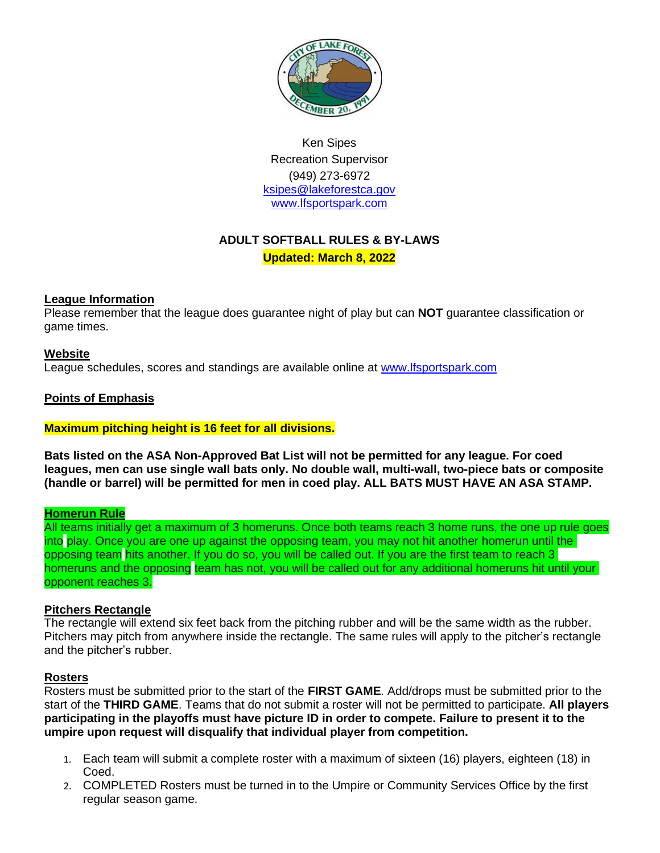

Ken Sipes Recreation Supervisor (949) 273-6972 [ksipes@lakeforestca.gov](mailto:ksipes@lakeforestca.gov) [www.lfsportspark.com](http://www.lfsportspark.com/)

# **ADULT SOFTBALL RULES & BY-LAWS**

**Updated: March 8, 2022**

# **League Information**

Please remember that the league does guarantee night of play but can **NOT** guarantee classification or game times.

#### **Website**

League schedules, scores and standings are available online at [www.lfsportspark.com](http://www.lfsportspark.com/)

# **Points of Emphasis**

#### **Maximum pitching height is 16 feet for all divisions.**

**Bats listed on the ASA Non-Approved Bat List will not be permitted for any league. For coed leagues, men can use single wall bats only. No double wall, multi-wall, two-piece bats or composite (handle or barrel) will be permitted for men in coed play. ALL BATS MUST HAVE AN ASA STAMP.**

#### **Homerun Rule**

All teams initially get a maximum of 3 homeruns. Once both teams reach 3 home runs, the one up rule goes into play. Once you are one up against the opposing team, you may not hit another homerun until the opposing team hits another. If you do so, you will be called out. If you are the first team to reach 3 homeruns and the opposing team has not, you will be called out for any additional homeruns hit until your opponent reaches 3.

#### **Pitchers Rectangle**

The rectangle will extend six feet back from the pitching rubber and will be the same width as the rubber. Pitchers may pitch from anywhere inside the rectangle. The same rules will apply to the pitcher's rectangle and the pitcher's rubber.

#### **Rosters**

Rosters must be submitted prior to the start of the **FIRST GAME**. Add/drops must be submitted prior to the start of the **THIRD GAME**. Teams that do not submit a roster will not be permitted to participate. **All players participating in the playoffs must have picture ID in order to compete. Failure to present it to the umpire upon request will disqualify that individual player from competition.**

- 1. Each team will submit a complete roster with a maximum of sixteen (16) players, eighteen (18) in Coed.
- 2. COMPLETED Rosters must be turned in to the Umpire or Community Services Office by the first regular season game.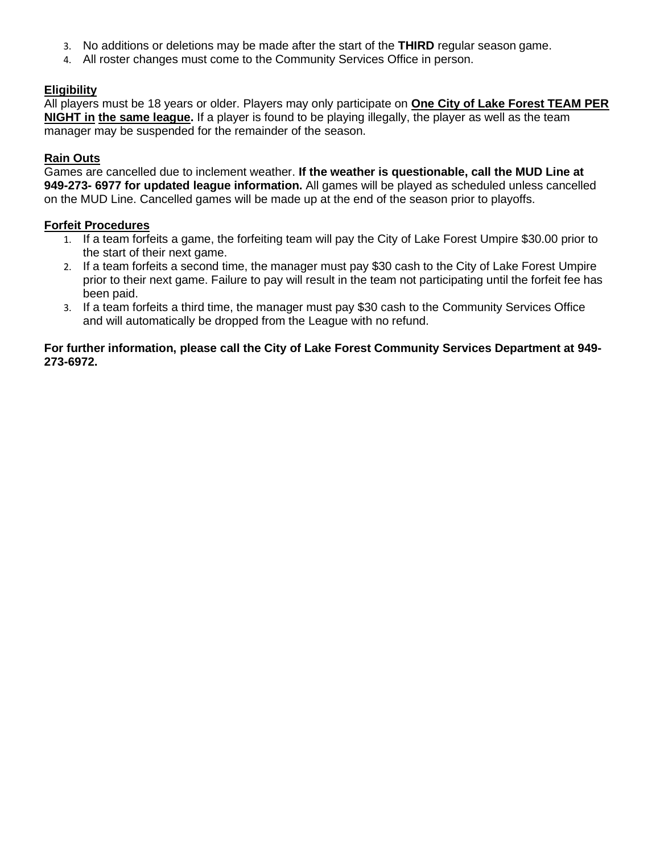- 3. No additions or deletions may be made after the start of the **THIRD** regular season game.
- 4. All roster changes must come to the Community Services Office in person.

# **Eligibility**

All players must be 18 years or older. Players may only participate on **One City of Lake Forest TEAM PER NIGHT in the same league.** If a player is found to be playing illegally, the player as well as the team manager may be suspended for the remainder of the season.

### **Rain Outs**

Games are cancelled due to inclement weather. **If the weather is questionable, call the MUD Line at 949-273- 6977 for updated league information.** All games will be played as scheduled unless cancelled on the MUD Line. Cancelled games will be made up at the end of the season prior to playoffs.

#### **Forfeit Procedures**

- 1. If a team forfeits a game, the forfeiting team will pay the City of Lake Forest Umpire \$30.00 prior to the start of their next game.
- 2. If a team forfeits a second time, the manager must pay \$30 cash to the City of Lake Forest Umpire prior to their next game. Failure to pay will result in the team not participating until the forfeit fee has been paid.
- 3. If a team forfeits a third time, the manager must pay \$30 cash to the Community Services Office and will automatically be dropped from the League with no refund.

#### **For further information, please call the City of Lake Forest Community Services Department at 949- 273-6972.**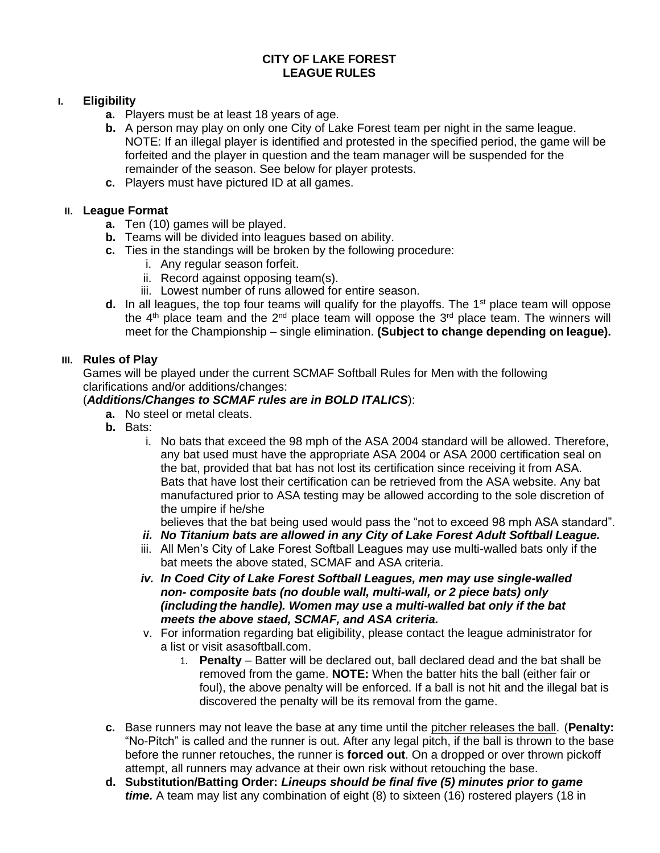# **CITY OF LAKE FOREST LEAGUE RULES**

# **I. Eligibility**

- **a.** Players must be at least 18 years of age.
- **b.** A person may play on only one City of Lake Forest team per night in the same league. NOTE: If an illegal player is identified and protested in the specified period, the game will be forfeited and the player in question and the team manager will be suspended for the remainder of the season. See below for player protests.
- **c.** Players must have pictured ID at all games.

# **II. League Format**

- **a.** Ten (10) games will be played.
- **b.** Teams will be divided into leagues based on ability.
- **c.** Ties in the standings will be broken by the following procedure:
	- i. Any regular season forfeit.
	- ii. Record against opposing team(s).
	- iii. Lowest number of runs allowed for entire season.
- **d.** In all leagues, the top four teams will qualify for the playoffs. The  $1<sup>st</sup>$  place team will oppose the  $4<sup>th</sup>$  place team and the  $2<sup>nd</sup>$  place team will oppose the  $3<sup>rd</sup>$  place team. The winners will meet for the Championship – single elimination. **(Subject to change depending on league).**

#### **III. Rules of Play**

Games will be played under the current SCMAF Softball Rules for Men with the following clarifications and/or additions/changes:

# (*Additions/Changes to SCMAF rules are in BOLD ITALICS*):

- **a.** No steel or metal cleats.
- **b.** Bats:
	- i. No bats that exceed the 98 mph of the ASA 2004 standard will be allowed. Therefore, any bat used must have the appropriate ASA 2004 or ASA 2000 certification seal on the bat, provided that bat has not lost its certification since receiving it from ASA. Bats that have lost their certification can be retrieved from the ASA website. Any bat manufactured prior to ASA testing may be allowed according to the sole discretion of the umpire if he/she

believes that the bat being used would pass the "not to exceed 98 mph ASA standard".

- *ii. No Titanium bats are allowed in any City of Lake Forest Adult Softball League.*
- iii. All Men's City of Lake Forest Softball Leagues may use multi-walled bats only if the bat meets the above stated, SCMAF and ASA criteria.
- *iv. In Coed City of Lake Forest Softball Leagues, men may use single-walled non- composite bats (no double wall, multi-wall, or 2 piece bats) only (includingthe handle). Women may use a multi-walled bat only if the bat meets the above staed, SCMAF, and ASA criteria.*
- v. For information regarding bat eligibility, please contact the league administrator for a list or visit asasoftball.com.
	- 1. **Penalty**  Batter will be declared out, ball declared dead and the bat shall be removed from the game. **NOTE:** When the batter hits the ball (either fair or foul), the above penalty will be enforced. If a ball is not hit and the illegal bat is discovered the penalty will be its removal from the game.
- **c.** Base runners may not leave the base at any time until the pitcher releases the ball. (**Penalty:** "No-Pitch" is called and the runner is out. After any legal pitch, if the ball is thrown to the base before the runner retouches, the runner is **forced out**. On a dropped or over thrown pickoff attempt, all runners may advance at their own risk without retouching the base.
- **d. Substitution/Batting Order:** *Lineups should be final five (5) minutes prior to game time.* A team may list any combination of eight (8) to sixteen (16) rostered players (18 in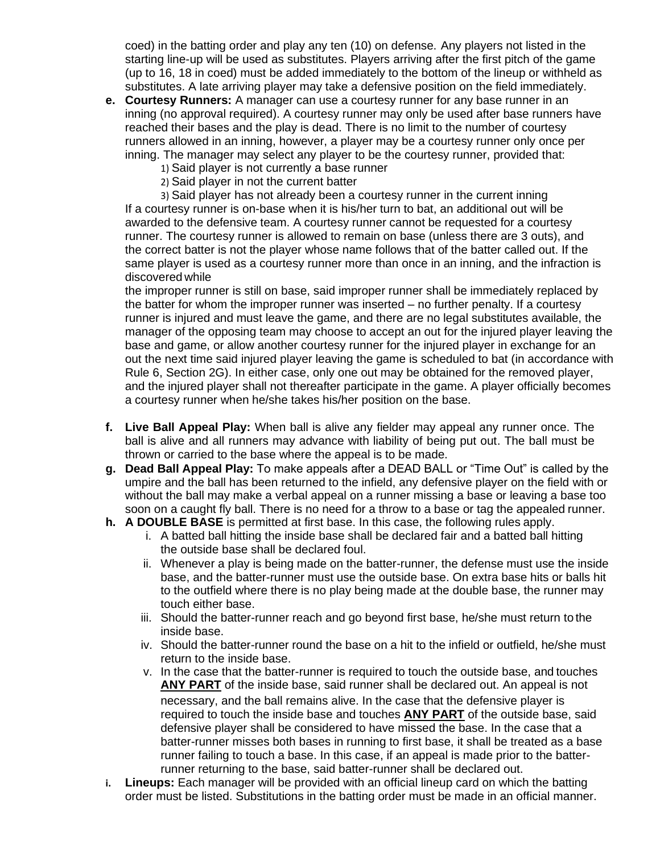coed) in the batting order and play any ten (10) on defense. Any players not listed in the starting line-up will be used as substitutes. Players arriving after the first pitch of the game (up to 16, 18 in coed) must be added immediately to the bottom of the lineup or withheld as substitutes. A late arriving player may take a defensive position on the field immediately.

- **e. Courtesy Runners:** A manager can use a courtesy runner for any base runner in an inning (no approval required). A courtesy runner may only be used after base runners have reached their bases and the play is dead. There is no limit to the number of courtesy runners allowed in an inning, however, a player may be a courtesy runner only once per inning. The manager may select any player to be the courtesy runner, provided that:
	- 1) Said player is not currently a base runner
	- 2) Said player in not the current batter

3) Said player has not already been a courtesy runner in the current inning If a courtesy runner is on-base when it is his/her turn to bat, an additional out will be awarded to the defensive team. A courtesy runner cannot be requested for a courtesy runner. The courtesy runner is allowed to remain on base (unless there are 3 outs), and the correct batter is not the player whose name follows that of the batter called out. If the same player is used as a courtesy runner more than once in an inning, and the infraction is discovered while

the improper runner is still on base, said improper runner shall be immediately replaced by the batter for whom the improper runner was inserted – no further penalty. If a courtesy runner is injured and must leave the game, and there are no legal substitutes available, the manager of the opposing team may choose to accept an out for the injured player leaving the base and game, or allow another courtesy runner for the injured player in exchange for an out the next time said injured player leaving the game is scheduled to bat (in accordance with Rule 6, Section 2G). In either case, only one out may be obtained for the removed player, and the injured player shall not thereafter participate in the game. A player officially becomes a courtesy runner when he/she takes his/her position on the base.

- **f. Live Ball Appeal Play:** When ball is alive any fielder may appeal any runner once. The ball is alive and all runners may advance with liability of being put out. The ball must be thrown or carried to the base where the appeal is to be made.
- **g. Dead Ball Appeal Play:** To make appeals after a DEAD BALL or "Time Out" is called by the umpire and the ball has been returned to the infield, any defensive player on the field with or without the ball may make a verbal appeal on a runner missing a base or leaving a base too soon on a caught fly ball. There is no need for a throw to a base or tag the appealed runner.
- **h. A DOUBLE BASE** is permitted at first base. In this case, the following rules apply.
	- i. A batted ball hitting the inside base shall be declared fair and a batted ball hitting the outside base shall be declared foul.
	- ii. Whenever a play is being made on the batter-runner, the defense must use the inside base, and the batter-runner must use the outside base. On extra base hits or balls hit to the outfield where there is no play being made at the double base, the runner may touch either base.
	- iii. Should the batter-runner reach and go beyond first base, he/she must return to the inside base.
	- iv. Should the batter-runner round the base on a hit to the infield or outfield, he/she must return to the inside base.
	- v. In the case that the batter-runner is required to touch the outside base, and touches **ANY PART** of the inside base, said runner shall be declared out. An appeal is not necessary, and the ball remains alive. In the case that the defensive player is required to touch the inside base and touches **ANY PART** of the outside base, said defensive player shall be considered to have missed the base. In the case that a batter-runner misses both bases in running to first base, it shall be treated as a base runner failing to touch a base. In this case, if an appeal is made prior to the batterrunner returning to the base, said batter-runner shall be declared out.
- **i. Lineups:** Each manager will be provided with an official lineup card on which the batting order must be listed. Substitutions in the batting order must be made in an official manner.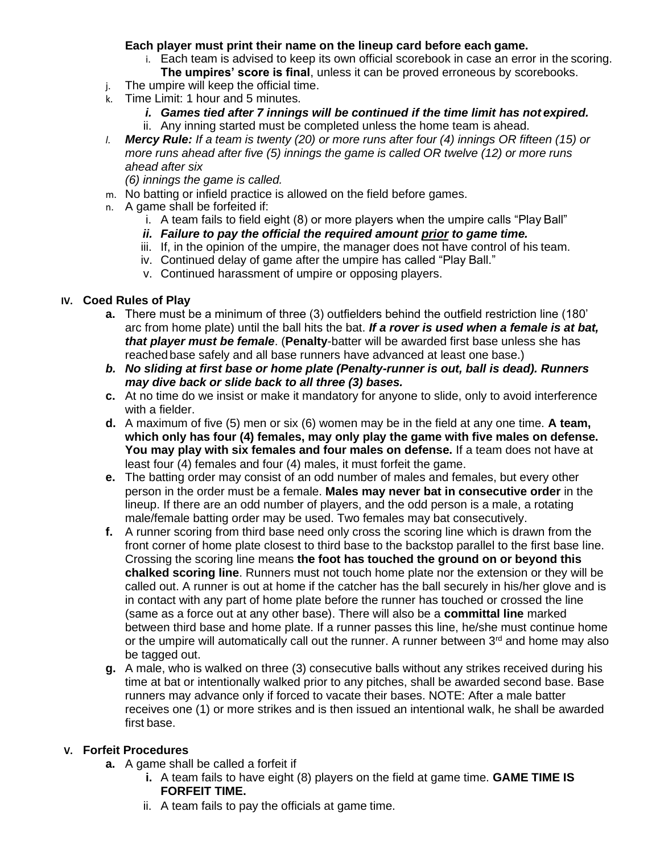### **Each player must print their name on the lineup card before each game.**

- i. Each team is advised to keep its own official scorebook in case an error in the scoring. **The umpires' score is final**, unless it can be proved erroneous by scorebooks.
- j. The umpire will keep the official time.
- k. Time Limit: 1 hour and 5 minutes.
	- *i. Games tied after 7 innings will be continued if the time limit has not expired.* ii. Any inning started must be completed unless the home team is ahead.
- *l. Mercy Rule: If a team is twenty (20) or more runs after four (4) innings OR fifteen (15) or more runs ahead after five (5) innings the game is called OR twelve (12) or more runs ahead after six*

*(6) innings the game is called.*

- m. No batting or infield practice is allowed on the field before games.
- n. A game shall be forfeited if:
	- i. A team fails to field eight (8) or more players when the umpire calls "Play Ball"
	- *ii. Failure to pay the official the required amount prior to game time.*
	- iii. If, in the opinion of the umpire, the manager does not have control of his team.
	- iv. Continued delay of game after the umpire has called "Play Ball."
	- v. Continued harassment of umpire or opposing players.

# **IV. Coed Rules of Play**

- **a.** There must be a minimum of three (3) outfielders behind the outfield restriction line (180' arc from home plate) until the ball hits the bat. *If a rover is used when a female is at bat, that player must be female*. (**Penalty**-batter will be awarded first base unless she has reached base safely and all base runners have advanced at least one base.)
- *b. No sliding at first base or home plate (Penalty-runner is out, ball is dead). Runners may dive back or slide back to all three (3) bases.*
- **c.** At no time do we insist or make it mandatory for anyone to slide, only to avoid interference with a fielder.
- **d.** A maximum of five (5) men or six (6) women may be in the field at any one time. **A team, which only has four (4) females, may only play the game with five males on defense. You may play with six females and four males on defense.** If a team does not have at least four (4) females and four (4) males, it must forfeit the game.
- **e.** The batting order may consist of an odd number of males and females, but every other person in the order must be a female. **Males may never bat in consecutive order** in the lineup. If there are an odd number of players, and the odd person is a male, a rotating male/female batting order may be used. Two females may bat consecutively.
- **f.** A runner scoring from third base need only cross the scoring line which is drawn from the front corner of home plate closest to third base to the backstop parallel to the first base line. Crossing the scoring line means **the foot has touched the ground on or beyond this chalked scoring line**. Runners must not touch home plate nor the extension or they will be called out. A runner is out at home if the catcher has the ball securely in his/her glove and is in contact with any part of home plate before the runner has touched or crossed the line (same as a force out at any other base). There will also be a **committal line** marked between third base and home plate. If a runner passes this line, he/she must continue home or the umpire will automatically call out the runner. A runner between  $3<sup>rd</sup>$  and home may also be tagged out.
- **g.** A male, who is walked on three (3) consecutive balls without any strikes received during his time at bat or intentionally walked prior to any pitches, shall be awarded second base. Base runners may advance only if forced to vacate their bases. NOTE: After a male batter receives one (1) or more strikes and is then issued an intentional walk, he shall be awarded first base.

# **V. Forfeit Procedures**

- **a.** A game shall be called a forfeit if
	- **i.** A team fails to have eight (8) players on the field at game time. **GAME TIME IS FORFEIT TIME.**
		- ii. A team fails to pay the officials at game time.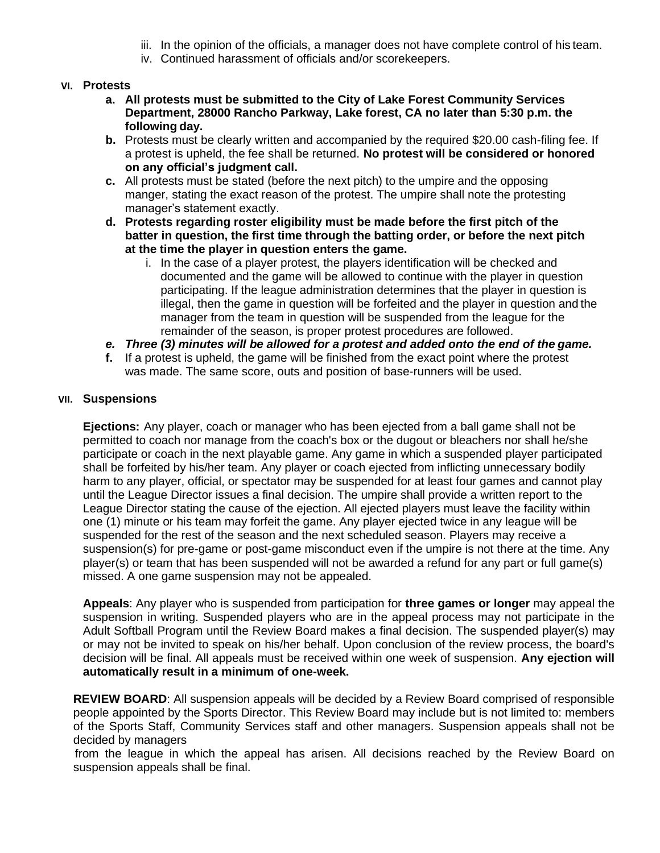- iii. In the opinion of the officials, a manager does not have complete control of his team.
- iv. Continued harassment of officials and/or scorekeepers.

#### **VI. Protests**

- **a. All protests must be submitted to the City of Lake Forest Community Services Department, 28000 Rancho Parkway, Lake forest, CA no later than 5:30 p.m. the following day.**
- **b.** Protests must be clearly written and accompanied by the required \$20.00 cash-filing fee. If a protest is upheld, the fee shall be returned. **No protest will be considered or honored on any official's judgment call.**
- **c.** All protests must be stated (before the next pitch) to the umpire and the opposing manger, stating the exact reason of the protest. The umpire shall note the protesting manager's statement exactly.
- **d. Protests regarding roster eligibility must be made before the first pitch of the batter in question, the first time through the batting order, or before the next pitch at the time the player in question enters the game.**
	- i. In the case of a player protest, the players identification will be checked and documented and the game will be allowed to continue with the player in question participating. If the league administration determines that the player in question is illegal, then the game in question will be forfeited and the player in question and the manager from the team in question will be suspended from the league for the remainder of the season, is proper protest procedures are followed.
- *e. Three (3) minutes will be allowed for a protest and added onto the end of the game.*
- **f.** If a protest is upheld, the game will be finished from the exact point where the protest was made. The same score, outs and position of base-runners will be used.

#### **VII. Suspensions**

**Ejections:** Any player, coach or manager who has been ejected from a ball game shall not be permitted to coach nor manage from the coach's box or the dugout or bleachers nor shall he/she participate or coach in the next playable game. Any game in which a suspended player participated shall be forfeited by his/her team. Any player or coach ejected from inflicting unnecessary bodily harm to any player, official, or spectator may be suspended for at least four games and cannot play until the League Director issues a final decision. The umpire shall provide a written report to the League Director stating the cause of the ejection. All ejected players must leave the facility within one (1) minute or his team may forfeit the game. Any player ejected twice in any league will be suspended for the rest of the season and the next scheduled season. Players may receive a suspension(s) for pre-game or post-game misconduct even if the umpire is not there at the time. Any player(s) or team that has been suspended will not be awarded a refund for any part or full game(s) missed. A one game suspension may not be appealed.

**Appeals**: Any player who is suspended from participation for **three games or longer** may appeal the suspension in writing. Suspended players who are in the appeal process may not participate in the Adult Softball Program until the Review Board makes a final decision. The suspended player(s) may or may not be invited to speak on his/her behalf. Upon conclusion of the review process, the board's decision will be final. All appeals must be received within one week of suspension. **Any ejection will automatically result in a minimum of one-week.**

**REVIEW BOARD**: All suspension appeals will be decided by a Review Board comprised of responsible people appointed by the Sports Director. This Review Board may include but is not limited to: members of the Sports Staff, Community Services staff and other managers. Suspension appeals shall not be decided by managers

from the league in which the appeal has arisen. All decisions reached by the Review Board on suspension appeals shall be final.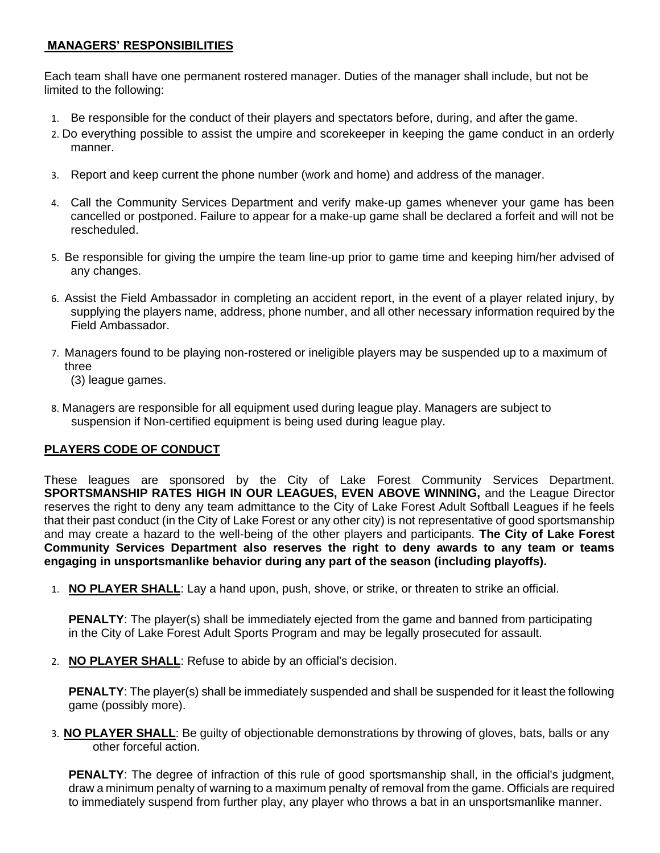# **MANAGERS' RESPONSIBILITIES**

Each team shall have one permanent rostered manager. Duties of the manager shall include, but not be limited to the following:

- 1. Be responsible for the conduct of their players and spectators before, during, and after the game.
- 2. Do everything possible to assist the umpire and scorekeeper in keeping the game conduct in an orderly manner.
- 3. Report and keep current the phone number (work and home) and address of the manager.
- 4. Call the Community Services Department and verify make-up games whenever your game has been cancelled or postponed. Failure to appear for a make-up game shall be declared a forfeit and will not be rescheduled.
- 5. Be responsible for giving the umpire the team line-up prior to game time and keeping him/her advised of any changes.
- 6. Assist the Field Ambassador in completing an accident report, in the event of a player related injury, by supplying the players name, address, phone number, and all other necessary information required by the Field Ambassador.
- 7. Managers found to be playing non-rostered or ineligible players may be suspended up to a maximum of three

(3) league games.

8. Managers are responsible for all equipment used during league play. Managers are subject to suspension if Non-certified equipment is being used during league play.

# **PLAYERS CODE OF CONDUCT**

These leagues are sponsored by the City of Lake Forest Community Services Department. **SPORTSMANSHIP RATES HIGH IN OUR LEAGUES, EVEN ABOVE WINNING,** and the League Director reserves the right to deny any team admittance to the City of Lake Forest Adult Softball Leagues if he feels that their past conduct (in the City of Lake Forest or any other city) is not representative of good sportsmanship and may create a hazard to the well-being of the other players and participants. **The City of Lake Forest Community Services Department also reserves the right to deny awards to any team or teams engaging in unsportsmanlike behavior during any part of the season (including playoffs).**

1. **NO PLAYER SHALL**: Lay a hand upon, push, shove, or strike, or threaten to strike an official.

**PENALTY:** The player(s) shall be immediately ejected from the game and banned from participating in the City of Lake Forest Adult Sports Program and may be legally prosecuted for assault.

2. **NO PLAYER SHALL**: Refuse to abide by an official's decision.

**PENALTY:** The player(s) shall be immediately suspended and shall be suspended for it least the following game (possibly more).

3. **NO PLAYER SHALL**: Be guilty of objectionable demonstrations by throwing of gloves, bats, balls or any other forceful action.

**PENALTY:** The degree of infraction of this rule of good sportsmanship shall, in the official's judgment, draw a minimum penalty of warning to a maximum penalty of removal from the game. Officials are required to immediately suspend from further play, any player who throws a bat in an unsportsmanlike manner.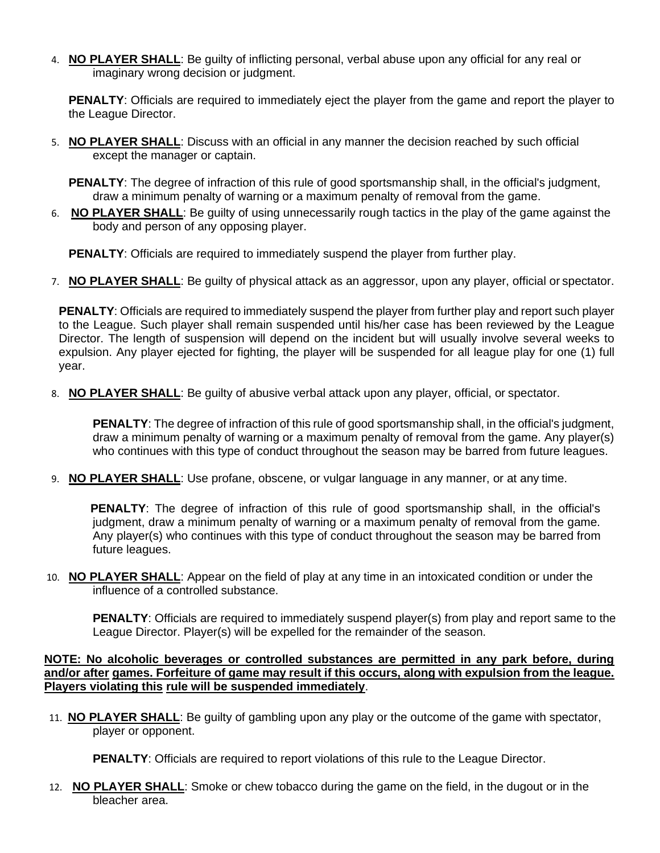4. **NO PLAYER SHALL**: Be guilty of inflicting personal, verbal abuse upon any official for any real or imaginary wrong decision or judgment.

**PENALTY:** Officials are required to immediately eject the player from the game and report the player to the League Director.

5. **NO PLAYER SHALL**: Discuss with an official in any manner the decision reached by such official except the manager or captain.

**PENALTY:** The degree of infraction of this rule of good sportsmanship shall, in the official's judgment, draw a minimum penalty of warning or a maximum penalty of removal from the game.

6. **NO PLAYER SHALL**: Be guilty of using unnecessarily rough tactics in the play of the game against the body and person of any opposing player.

**PENALTY:** Officials are required to immediately suspend the player from further play.

7. **NO PLAYER SHALL**: Be guilty of physical attack as an aggressor, upon any player, official or spectator.

**PENALTY**: Officials are required to immediately suspend the player from further play and report such player to the League. Such player shall remain suspended until his/her case has been reviewed by the League Director. The length of suspension will depend on the incident but will usually involve several weeks to expulsion. Any player ejected for fighting, the player will be suspended for all league play for one (1) full year.

8. **NO PLAYER SHALL**: Be guilty of abusive verbal attack upon any player, official, or spectator.

**PENALTY:** The degree of infraction of this rule of good sportsmanship shall, in the official's judgment, draw a minimum penalty of warning or a maximum penalty of removal from the game. Any player(s) who continues with this type of conduct throughout the season may be barred from future leagues.

9. **NO PLAYER SHALL**: Use profane, obscene, or vulgar language in any manner, or at any time.

**PENALTY**: The degree of infraction of this rule of good sportsmanship shall, in the official's judgment, draw a minimum penalty of warning or a maximum penalty of removal from the game. Any player(s) who continues with this type of conduct throughout the season may be barred from future leagues.

10. **NO PLAYER SHALL**: Appear on the field of play at any time in an intoxicated condition or under the influence of a controlled substance.

**PENALTY:** Officials are required to immediately suspend player(s) from play and report same to the League Director. Player(s) will be expelled for the remainder of the season.

**NOTE: No alcoholic beverages or controlled substances are permitted in any park before, during and/or after games. Forfeiture of game may result if this occurs, along with expulsion from the league. Players violating this rule will be suspended immediately**.

11. **NO PLAYER SHALL**: Be guilty of gambling upon any play or the outcome of the game with spectator, player or opponent.

**PENALTY:** Officials are required to report violations of this rule to the League Director.

12. **NO PLAYER SHALL**: Smoke or chew tobacco during the game on the field, in the dugout or in the bleacher area.